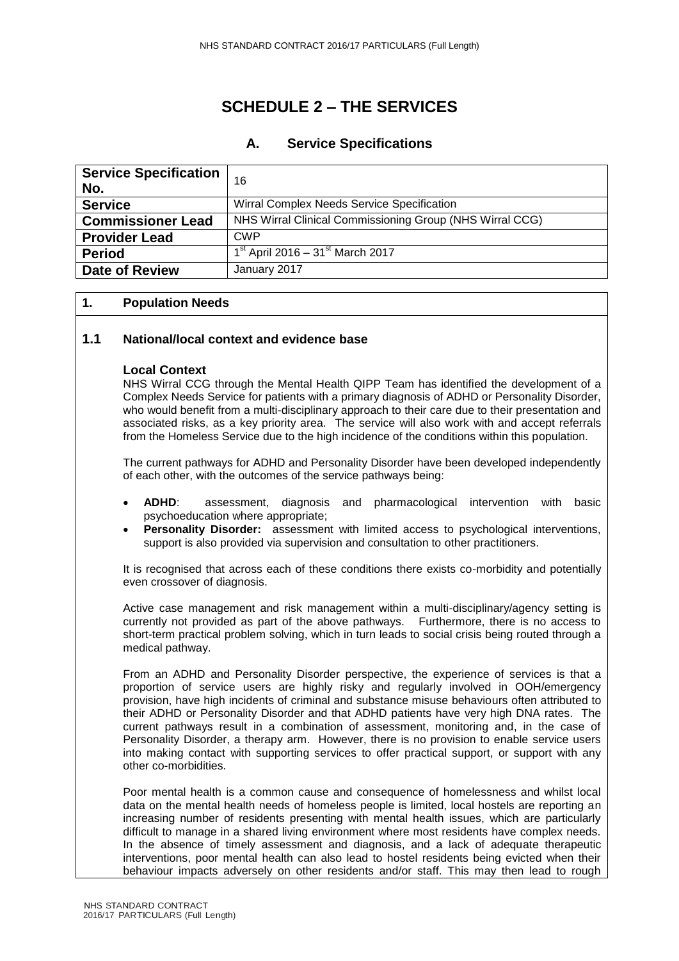# **SCHEDULE 2 – THE SERVICES**

# **A. Service Specifications**

| <b>Service Specification</b><br>No. | 16                                                       |
|-------------------------------------|----------------------------------------------------------|
| <b>Service</b>                      | Wirral Complex Needs Service Specification               |
| <b>Commissioner Lead</b>            | NHS Wirral Clinical Commissioning Group (NHS Wirral CCG) |
| <b>Provider Lead</b>                | <b>CWP</b>                                               |
| <b>Period</b>                       | $1^{st}$ April 2016 – 31 <sup>st</sup> March 2017        |
| <b>Date of Review</b>               | January 2017                                             |

## **1. Population Needs**

# **1.1 National/local context and evidence base**

## **Local Context**

NHS Wirral CCG through the Mental Health QIPP Team has identified the development of a Complex Needs Service for patients with a primary diagnosis of ADHD or Personality Disorder, who would benefit from a multi-disciplinary approach to their care due to their presentation and associated risks, as a key priority area. The service will also work with and accept referrals from the Homeless Service due to the high incidence of the conditions within this population.

The current pathways for ADHD and Personality Disorder have been developed independently of each other, with the outcomes of the service pathways being:

- **ADHD**: assessment, diagnosis and pharmacological intervention with basic psychoeducation where appropriate;
- **Personality Disorder:** assessment with limited access to psychological interventions, support is also provided via supervision and consultation to other practitioners.

It is recognised that across each of these conditions there exists co-morbidity and potentially even crossover of diagnosis.

Active case management and risk management within a multi-disciplinary/agency setting is currently not provided as part of the above pathways. Furthermore, there is no access to short-term practical problem solving, which in turn leads to social crisis being routed through a medical pathway.

From an ADHD and Personality Disorder perspective, the experience of services is that a proportion of service users are highly risky and regularly involved in OOH/emergency provision, have high incidents of criminal and substance misuse behaviours often attributed to their ADHD or Personality Disorder and that ADHD patients have very high DNA rates. The current pathways result in a combination of assessment, monitoring and, in the case of Personality Disorder, a therapy arm. However, there is no provision to enable service users into making contact with supporting services to offer practical support, or support with any other co-morbidities.

Poor mental health is a common cause and consequence of homelessness and whilst local data on the mental health needs of homeless people is limited, local hostels are reporting an increasing number of residents presenting with mental health issues, which are particularly difficult to manage in a shared living environment where most residents have complex needs. In the absence of timely assessment and diagnosis, and a lack of adequate therapeutic interventions, poor mental health can also lead to hostel residents being evicted when their behaviour impacts adversely on other residents and/or staff. This may then lead to rough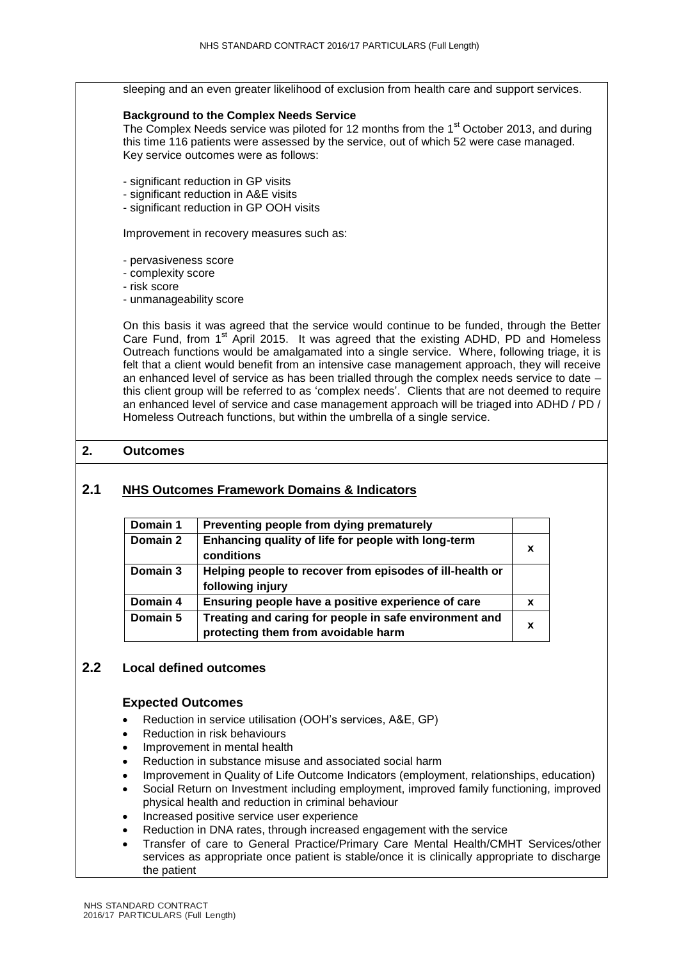sleeping and an even greater likelihood of exclusion from health care and support services.

#### **Background to the Complex Needs Service**

The Complex Needs service was piloted for 12 months from the 1<sup>st</sup> October 2013, and during this time 116 patients were assessed by the service, out of which 52 were case managed. Key service outcomes were as follows:

- significant reduction in GP visits
- significant reduction in A&E visits
- significant reduction in GP OOH visits

Improvement in recovery measures such as:

- pervasiveness score
- complexity score
- risk score
- unmanageability score

On this basis it was agreed that the service would continue to be funded, through the Better Care Fund, from 1<sup>st</sup> April 2015. It was agreed that the existing ADHD, PD and Homeless Outreach functions would be amalgamated into a single service. Where, following triage, it is felt that a client would benefit from an intensive case management approach, they will receive an enhanced level of service as has been trialled through the complex needs service to date – this client group will be referred to as 'complex needs'. Clients that are not deemed to require an enhanced level of service and case management approach will be triaged into ADHD / PD / Homeless Outreach functions, but within the umbrella of a single service.

# **2. Outcomes**

# **2.1 NHS Outcomes Framework Domains & Indicators**

| Domain 1 | Preventing people from dying prematurely                                                      |   |
|----------|-----------------------------------------------------------------------------------------------|---|
| Domain 2 | Enhancing quality of life for people with long-term<br>conditions                             | X |
| Domain 3 | Helping people to recover from episodes of ill-health or<br>following injury                  |   |
| Domain 4 | Ensuring people have a positive experience of care                                            | X |
| Domain 5 | Treating and caring for people in safe environment and<br>protecting them from avoidable harm | X |

# **2.2 Local defined outcomes**

#### **Expected Outcomes**

- Reduction in service utilisation (OOH's services, A&E, GP)
- Reduction in risk behaviours
- Improvement in mental health
- Reduction in substance misuse and associated social harm
- Improvement in Quality of Life Outcome Indicators (employment, relationships, education) Social Return on Investment including employment, improved family functioning, improved
- physical health and reduction in criminal behaviour
- Increased positive service user experience
- Reduction in DNA rates, through increased engagement with the service
- Transfer of care to General Practice/Primary Care Mental Health/CMHT Services/other services as appropriate once patient is stable/once it is clinically appropriate to discharge the patient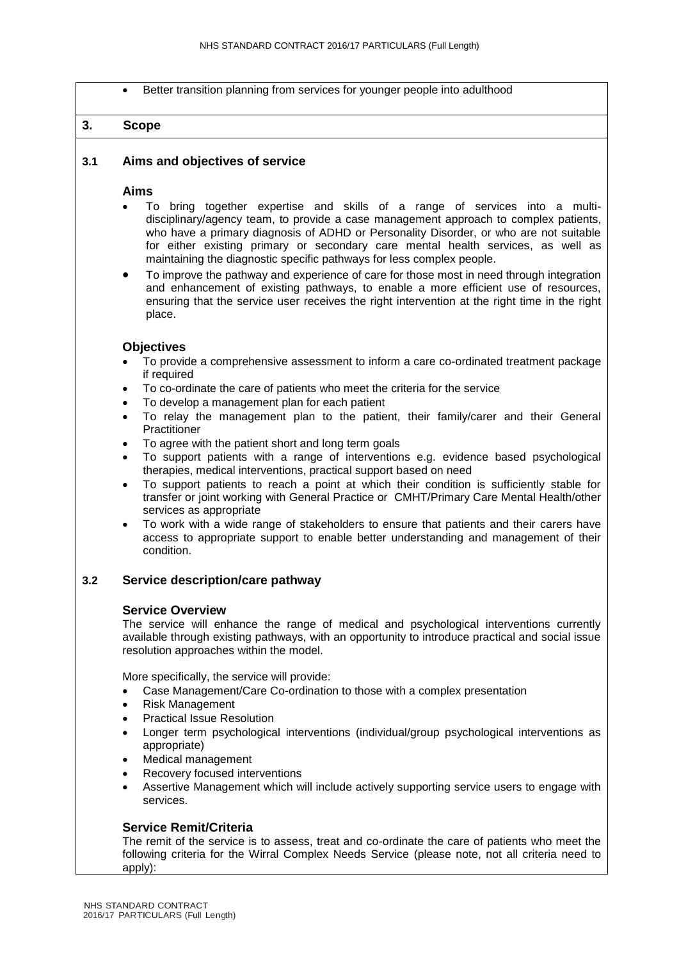Better transition planning from services for younger people into adulthood

# **3. Scope**

## **3.1 Aims and objectives of service**

#### **Aims**

- To bring together expertise and skills of a range of services into a multidisciplinary/agency team, to provide a case management approach to complex patients, who have a primary diagnosis of ADHD or Personality Disorder, or who are not suitable for either existing primary or secondary care mental health services, as well as maintaining the diagnostic specific pathways for less complex people.
- To improve the pathway and experience of care for those most in need through integration and enhancement of existing pathways, to enable a more efficient use of resources, ensuring that the service user receives the right intervention at the right time in the right place.

#### **Objectives**

- To provide a comprehensive assessment to inform a care co-ordinated treatment package if required
- To co-ordinate the care of patients who meet the criteria for the service
- To develop a management plan for each patient
- To relay the management plan to the patient, their family/carer and their General **Practitioner**
- To agree with the patient short and long term goals
- To support patients with a range of interventions e.g. evidence based psychological therapies, medical interventions, practical support based on need
- To support patients to reach a point at which their condition is sufficiently stable for transfer or joint working with General Practice or CMHT/Primary Care Mental Health/other services as appropriate
- To work with a wide range of stakeholders to ensure that patients and their carers have access to appropriate support to enable better understanding and management of their condition.

## **3.2 Service description/care pathway**

#### **Service Overview**

The service will enhance the range of medical and psychological interventions currently available through existing pathways, with an opportunity to introduce practical and social issue resolution approaches within the model.

More specifically, the service will provide:

- Case Management/Care Co-ordination to those with a complex presentation
- Risk Management
- Practical Issue Resolution
- Longer term psychological interventions (individual/group psychological interventions as appropriate)
- Medical management
- Recovery focused interventions
- Assertive Management which will include actively supporting service users to engage with services.

## **Service Remit/Criteria**

The remit of the service is to assess, treat and co-ordinate the care of patients who meet the following criteria for the Wirral Complex Needs Service (please note, not all criteria need to apply):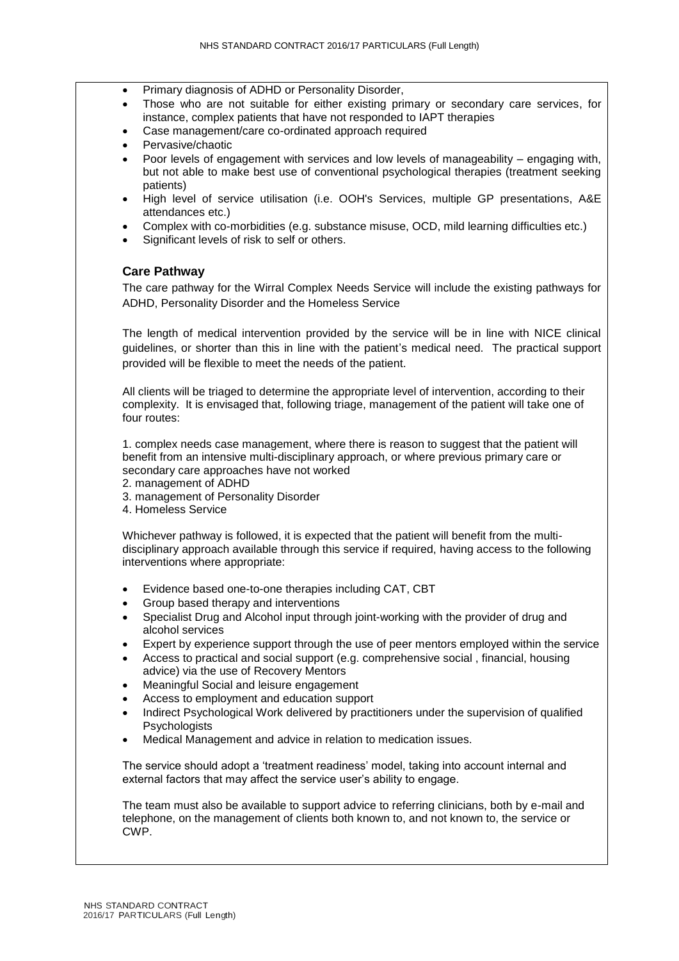- Primary diagnosis of ADHD or Personality Disorder,
- Those who are not suitable for either existing primary or secondary care services, for instance, complex patients that have not responded to IAPT therapies
- Case management/care co-ordinated approach required
- Pervasive/chaotic
- Poor levels of engagement with services and low levels of manageability engaging with, but not able to make best use of conventional psychological therapies (treatment seeking patients)
- High level of service utilisation (i.e. OOH's Services, multiple GP presentations, A&E attendances etc.)
- Complex with co-morbidities (e.g. substance misuse, OCD, mild learning difficulties etc.)
- Significant levels of risk to self or others.

## **Care Pathway**

The care pathway for the Wirral Complex Needs Service will include the existing pathways for ADHD, Personality Disorder and the Homeless Service

The length of medical intervention provided by the service will be in line with NICE clinical guidelines, or shorter than this in line with the patient's medical need. The practical support provided will be flexible to meet the needs of the patient.

All clients will be triaged to determine the appropriate level of intervention, according to their complexity. It is envisaged that, following triage, management of the patient will take one of four routes:

1. complex needs case management, where there is reason to suggest that the patient will benefit from an intensive multi-disciplinary approach, or where previous primary care or secondary care approaches have not worked

- 2. management of ADHD
- 3. management of Personality Disorder
- 4. Homeless Service

Whichever pathway is followed, it is expected that the patient will benefit from the multidisciplinary approach available through this service if required, having access to the following interventions where appropriate:

- Evidence based one-to-one therapies including CAT, CBT
- Group based therapy and interventions
- Specialist Drug and Alcohol input through joint-working with the provider of drug and alcohol services
- Expert by experience support through the use of peer mentors employed within the service
- Access to practical and social support (e.g. comprehensive social , financial, housing advice) via the use of Recovery Mentors
- Meaningful Social and leisure engagement
- Access to employment and education support
- Indirect Psychological Work delivered by practitioners under the supervision of qualified **Psychologists**
- Medical Management and advice in relation to medication issues.

The service should adopt a 'treatment readiness' model, taking into account internal and external factors that may affect the service user's ability to engage.

The team must also be available to support advice to referring clinicians, both by e-mail and telephone, on the management of clients both known to, and not known to, the service or CWP.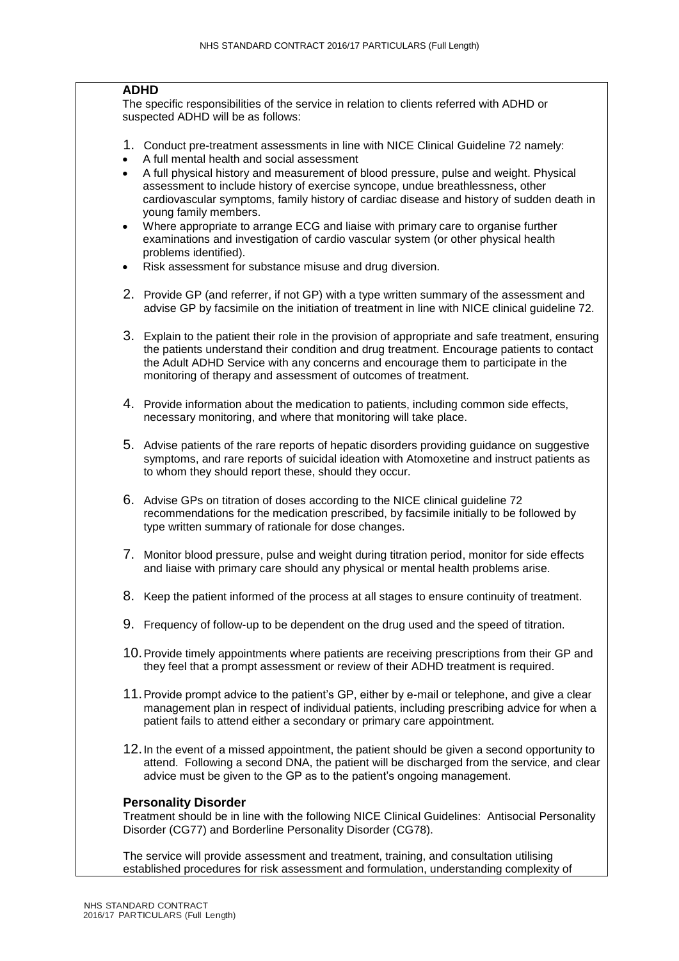#### **ADHD**

The specific responsibilities of the service in relation to clients referred with ADHD or suspected ADHD will be as follows:

- 1. Conduct pre-treatment assessments in line with NICE Clinical Guideline 72 namely:
- A full mental health and social assessment
- A full physical history and measurement of blood pressure, pulse and weight. Physical assessment to include history of exercise syncope, undue breathlessness, other cardiovascular symptoms, family history of cardiac disease and history of sudden death in young family members.
- Where appropriate to arrange ECG and liaise with primary care to organise further examinations and investigation of cardio vascular system (or other physical health problems identified).
- Risk assessment for substance misuse and drug diversion.
- 2. Provide GP (and referrer, if not GP) with a type written summary of the assessment and advise GP by facsimile on the initiation of treatment in line with NICE clinical guideline 72.
- 3. Explain to the patient their role in the provision of appropriate and safe treatment, ensuring the patients understand their condition and drug treatment. Encourage patients to contact the Adult ADHD Service with any concerns and encourage them to participate in the monitoring of therapy and assessment of outcomes of treatment.
- 4. Provide information about the medication to patients, including common side effects, necessary monitoring, and where that monitoring will take place.
- 5. Advise patients of the rare reports of hepatic disorders providing guidance on suggestive symptoms, and rare reports of suicidal ideation with Atomoxetine and instruct patients as to whom they should report these, should they occur.
- 6. Advise GPs on titration of doses according to the NICE clinical guideline 72 recommendations for the medication prescribed, by facsimile initially to be followed by type written summary of rationale for dose changes.
- 7. Monitor blood pressure, pulse and weight during titration period, monitor for side effects and liaise with primary care should any physical or mental health problems arise.
- 8. Keep the patient informed of the process at all stages to ensure continuity of treatment.
- 9. Frequency of follow-up to be dependent on the drug used and the speed of titration.
- 10.Provide timely appointments where patients are receiving prescriptions from their GP and they feel that a prompt assessment or review of their ADHD treatment is required.
- 11.Provide prompt advice to the patient's GP, either by e-mail or telephone, and give a clear management plan in respect of individual patients, including prescribing advice for when a patient fails to attend either a secondary or primary care appointment.
- 12.In the event of a missed appointment, the patient should be given a second opportunity to attend. Following a second DNA, the patient will be discharged from the service, and clear advice must be given to the GP as to the patient's ongoing management.

#### **Personality Disorder**

Treatment should be in line with the following NICE Clinical Guidelines: Antisocial Personality Disorder (CG77) and Borderline Personality Disorder (CG78).

The service will provide assessment and treatment, training, and consultation utilising established procedures for risk assessment and formulation, understanding complexity of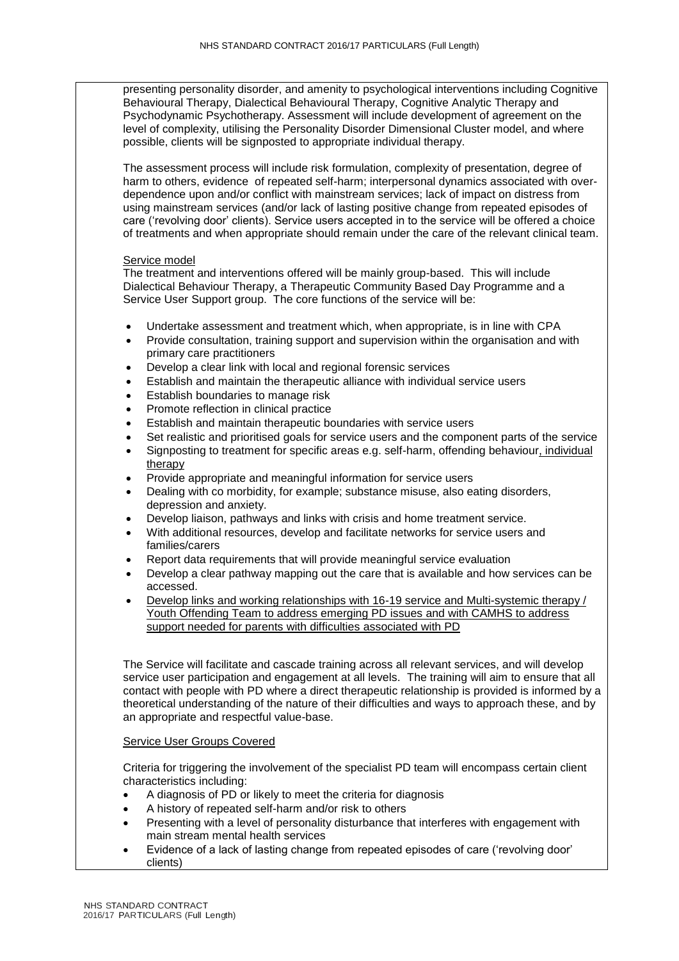presenting personality disorder, and amenity to psychological interventions including Cognitive Behavioural Therapy, Dialectical Behavioural Therapy, Cognitive Analytic Therapy and Psychodynamic Psychotherapy. Assessment will include development of agreement on the level of complexity, utilising the Personality Disorder Dimensional Cluster model, and where possible, clients will be signposted to appropriate individual therapy.

The assessment process will include risk formulation, complexity of presentation, degree of harm to others, evidence of repeated self-harm; interpersonal dynamics associated with overdependence upon and/or conflict with mainstream services; lack of impact on distress from using mainstream services (and/or lack of lasting positive change from repeated episodes of care ('revolving door' clients). Service users accepted in to the service will be offered a choice of treatments and when appropriate should remain under the care of the relevant clinical team.

#### Service model

The treatment and interventions offered will be mainly group-based. This will include Dialectical Behaviour Therapy, a Therapeutic Community Based Day Programme and a Service User Support group. The core functions of the service will be:

- Undertake assessment and treatment which, when appropriate, is in line with CPA
- Provide consultation, training support and supervision within the organisation and with primary care practitioners
- Develop a clear link with local and regional forensic services
- Establish and maintain the therapeutic alliance with individual service users
- Establish boundaries to manage risk
- Promote reflection in clinical practice
- Establish and maintain therapeutic boundaries with service users
- Set realistic and prioritised goals for service users and the component parts of the service
- Signposting to treatment for specific areas e.g. self-harm, offending behaviour, individual therapy
- Provide appropriate and meaningful information for service users
- Dealing with co morbidity, for example; substance misuse, also eating disorders, depression and anxiety.
- Develop liaison, pathways and links with crisis and home treatment service.
- With additional resources, develop and facilitate networks for service users and families/carers
- Report data requirements that will provide meaningful service evaluation
- Develop a clear pathway mapping out the care that is available and how services can be accessed.
- Develop links and working relationships with 16-19 service and Multi-systemic therapy / Youth Offending Team to address emerging PD issues and with CAMHS to address support needed for parents with difficulties associated with PD

The Service will facilitate and cascade training across all relevant services, and will develop service user participation and engagement at all levels. The training will aim to ensure that all contact with people with PD where a direct therapeutic relationship is provided is informed by a theoretical understanding of the nature of their difficulties and ways to approach these, and by an appropriate and respectful value-base.

#### Service User Groups Covered

Criteria for triggering the involvement of the specialist PD team will encompass certain client characteristics including:

- A diagnosis of PD or likely to meet the criteria for diagnosis
- A history of repeated self-harm and/or risk to others
- Presenting with a level of personality disturbance that interferes with engagement with main stream mental health services
- Evidence of a lack of lasting change from repeated episodes of care ('revolving door' clients)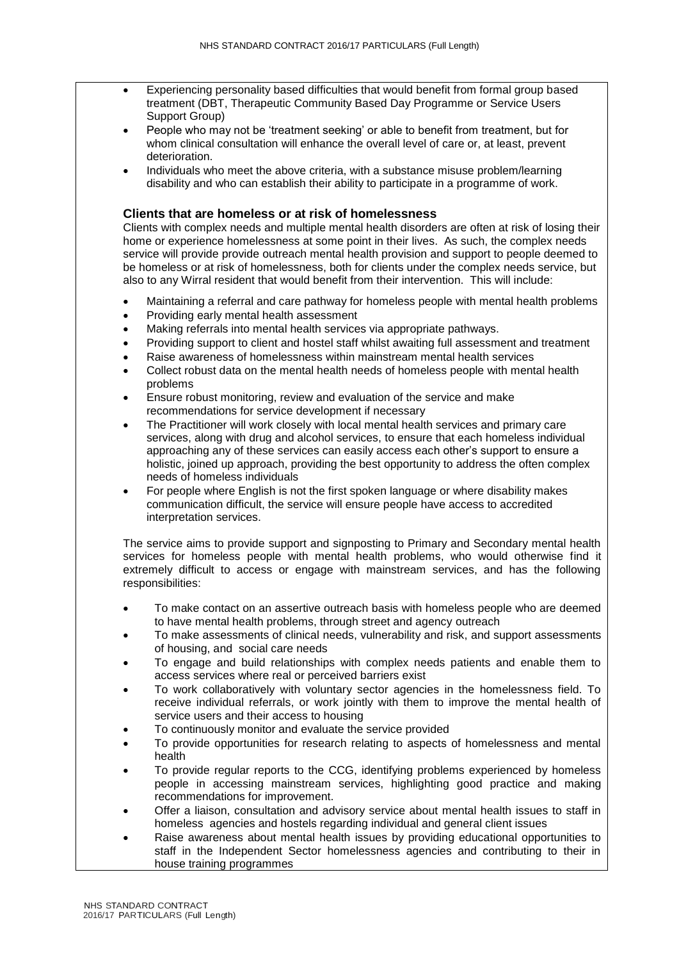- Experiencing personality based difficulties that would benefit from formal group based treatment (DBT, Therapeutic Community Based Day Programme or Service Users Support Group)
- People who may not be 'treatment seeking' or able to benefit from treatment, but for whom clinical consultation will enhance the overall level of care or, at least, prevent deterioration.
- Individuals who meet the above criteria, with a substance misuse problem/learning disability and who can establish their ability to participate in a programme of work.

#### **Clients that are homeless or at risk of homelessness**

Clients with complex needs and multiple mental health disorders are often at risk of losing their home or experience homelessness at some point in their lives. As such, the complex needs service will provide provide outreach mental health provision and support to people deemed to be homeless or at risk of homelessness, both for clients under the complex needs service, but also to any Wirral resident that would benefit from their intervention. This will include:

- Maintaining a referral and care pathway for homeless people with mental health problems
- Providing early mental health assessment
- Making referrals into mental health services via appropriate pathways.
- Providing support to client and hostel staff whilst awaiting full assessment and treatment
- Raise awareness of homelessness within mainstream mental health services
- Collect robust data on the mental health needs of homeless people with mental health problems
- Ensure robust monitoring, review and evaluation of the service and make recommendations for service development if necessary
- The Practitioner will work closely with local mental health services and primary care services, along with drug and alcohol services, to ensure that each homeless individual approaching any of these services can easily access each other's support to ensure a holistic, joined up approach, providing the best opportunity to address the often complex needs of homeless individuals
- For people where English is not the first spoken language or where disability makes communication difficult, the service will ensure people have access to accredited interpretation services.

The service aims to provide support and signposting to Primary and Secondary mental health services for homeless people with mental health problems, who would otherwise find it extremely difficult to access or engage with mainstream services, and has the following responsibilities:

- To make contact on an assertive outreach basis with homeless people who are deemed to have mental health problems, through street and agency outreach
- To make assessments of clinical needs, vulnerability and risk, and support assessments of housing, and social care needs
- To engage and build relationships with complex needs patients and enable them to access services where real or perceived barriers exist
- To work collaboratively with voluntary sector agencies in the homelessness field. To receive individual referrals, or work jointly with them to improve the mental health of service users and their access to housing
- To continuously monitor and evaluate the service provided
- To provide opportunities for research relating to aspects of homelessness and mental health
- To provide regular reports to the CCG, identifying problems experienced by homeless people in accessing mainstream services, highlighting good practice and making recommendations for improvement.
- Offer a liaison, consultation and advisory service about mental health issues to staff in homeless agencies and hostels regarding individual and general client issues
- Raise awareness about mental health issues by providing educational opportunities to staff in the Independent Sector homelessness agencies and contributing to their in house training programmes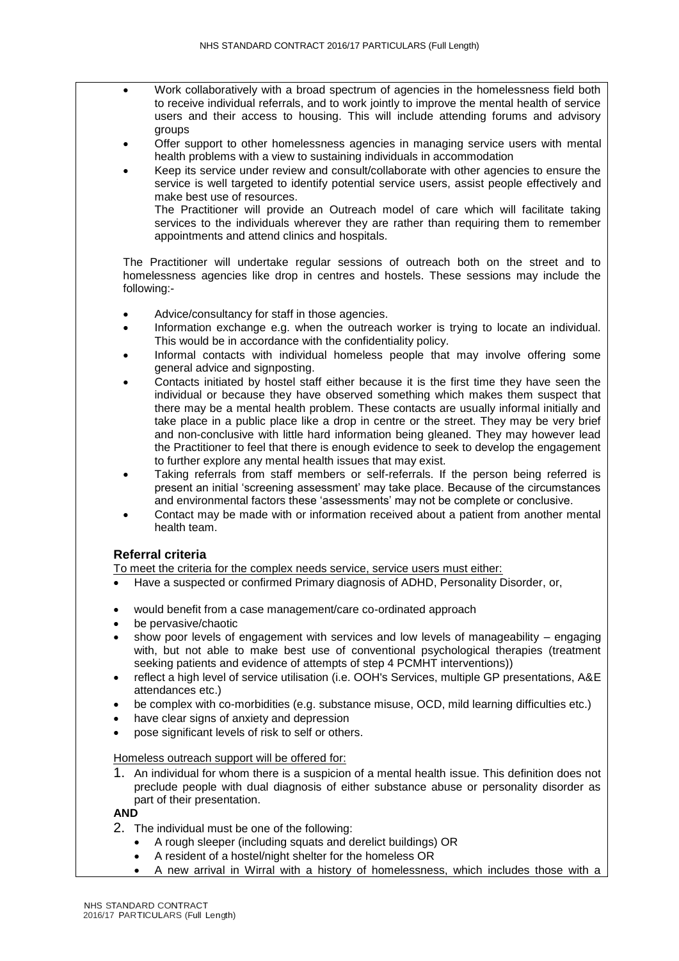- Work collaboratively with a broad spectrum of agencies in the homelessness field both to receive individual referrals, and to work jointly to improve the mental health of service users and their access to housing. This will include attending forums and advisory groups
	- Offer support to other homelessness agencies in managing service users with mental health problems with a view to sustaining individuals in accommodation
	- Keep its service under review and consult/collaborate with other agencies to ensure the service is well targeted to identify potential service users, assist people effectively and make best use of resources.

The Practitioner will provide an Outreach model of care which will facilitate taking services to the individuals wherever they are rather than requiring them to remember appointments and attend clinics and hospitals.

The Practitioner will undertake regular sessions of outreach both on the street and to homelessness agencies like drop in centres and hostels. These sessions may include the following:-

- Advice/consultancy for staff in those agencies.
- Information exchange e.g. when the outreach worker is trying to locate an individual. This would be in accordance with the confidentiality policy.
- Informal contacts with individual homeless people that may involve offering some general advice and signposting.
- Contacts initiated by hostel staff either because it is the first time they have seen the individual or because they have observed something which makes them suspect that there may be a mental health problem. These contacts are usually informal initially and take place in a public place like a drop in centre or the street. They may be very brief and non-conclusive with little hard information being gleaned. They may however lead the Practitioner to feel that there is enough evidence to seek to develop the engagement to further explore any mental health issues that may exist.
- Taking referrals from staff members or self-referrals. If the person being referred is present an initial 'screening assessment' may take place. Because of the circumstances and environmental factors these 'assessments' may not be complete or conclusive.
- Contact may be made with or information received about a patient from another mental health team.

# **Referral criteria**

To meet the criteria for the complex needs service, service users must either:

- Have a suspected or confirmed Primary diagnosis of ADHD, Personality Disorder, or,
- would benefit from a case management/care co-ordinated approach
- be pervasive/chaotic
- show poor levels of engagement with services and low levels of manageability engaging with, but not able to make best use of conventional psychological therapies (treatment seeking patients and evidence of attempts of step 4 PCMHT interventions))
- reflect a high level of service utilisation (i.e. OOH's Services, multiple GP presentations, A&E attendances etc.)
- be complex with co-morbidities (e.g. substance misuse, OCD, mild learning difficulties etc.)
- have clear signs of anxiety and depression
- pose significant levels of risk to self or others.

## Homeless outreach support will be offered for:

1. An individual for whom there is a suspicion of a mental health issue. This definition does not preclude people with dual diagnosis of either substance abuse or personality disorder as part of their presentation.

## **AND**

- 2. The individual must be one of the following:
	- A rough sleeper (including squats and derelict buildings) OR
	- A resident of a hostel/night shelter for the homeless OR
	- A new arrival in Wirral with a history of homelessness, which includes those with a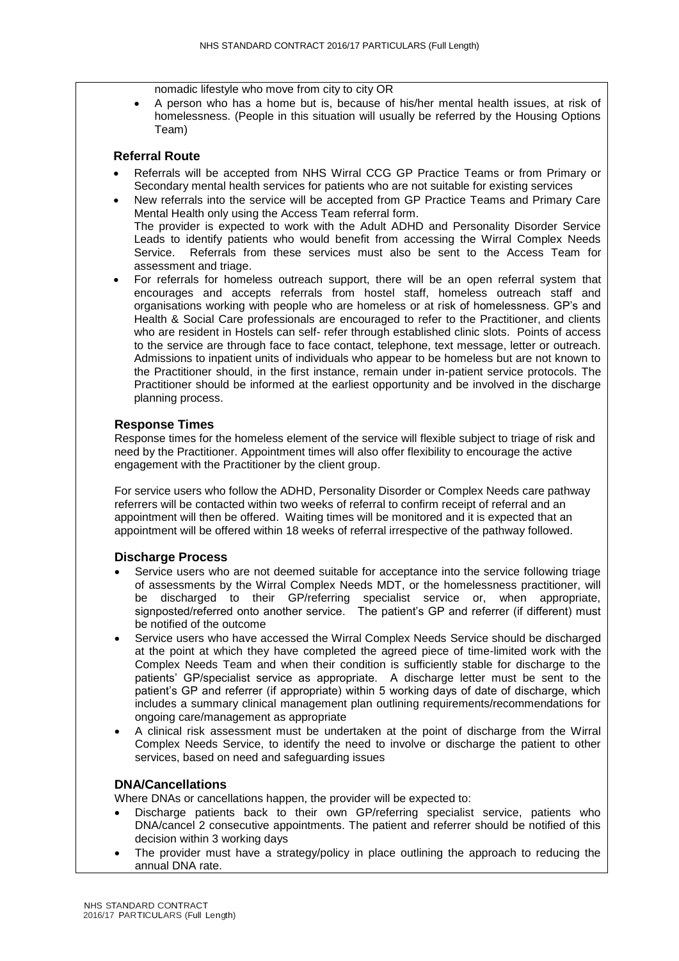nomadic lifestyle who move from city to city OR

 A person who has a home but is, because of his/her mental health issues, at risk of homelessness. (People in this situation will usually be referred by the Housing Options Team)

## **Referral Route**

- Referrals will be accepted from NHS Wirral CCG GP Practice Teams or from Primary or Secondary mental health services for patients who are not suitable for existing services
- New referrals into the service will be accepted from GP Practice Teams and Primary Care Mental Health only using the Access Team referral form. The provider is expected to work with the Adult ADHD and Personality Disorder Service Leads to identify patients who would benefit from accessing the Wirral Complex Needs Service. Referrals from these services must also be sent to the Access Team for assessment and triage.
- For referrals for homeless outreach support, there will be an open referral system that encourages and accepts referrals from hostel staff, homeless outreach staff and organisations working with people who are homeless or at risk of homelessness. GP's and Health & Social Care professionals are encouraged to refer to the Practitioner, and clients who are resident in Hostels can self- refer through established clinic slots. Points of access to the service are through face to face contact, telephone, text message, letter or outreach. Admissions to inpatient units of individuals who appear to be homeless but are not known to the Practitioner should, in the first instance, remain under in-patient service protocols. The Practitioner should be informed at the earliest opportunity and be involved in the discharge planning process.

## **Response Times**

Response times for the homeless element of the service will flexible subject to triage of risk and need by the Practitioner. Appointment times will also offer flexibility to encourage the active engagement with the Practitioner by the client group.

For service users who follow the ADHD, Personality Disorder or Complex Needs care pathway referrers will be contacted within two weeks of referral to confirm receipt of referral and an appointment will then be offered. Waiting times will be monitored and it is expected that an appointment will be offered within 18 weeks of referral irrespective of the pathway followed.

#### **Discharge Process**

- Service users who are not deemed suitable for acceptance into the service following triage of assessments by the Wirral Complex Needs MDT, or the homelessness practitioner, will be discharged to their GP/referring specialist service or, when appropriate, signposted/referred onto another service. The patient's GP and referrer (if different) must be notified of the outcome
- Service users who have accessed the Wirral Complex Needs Service should be discharged at the point at which they have completed the agreed piece of time-limited work with the Complex Needs Team and when their condition is sufficiently stable for discharge to the patients' GP/specialist service as appropriate. A discharge letter must be sent to the patient's GP and referrer (if appropriate) within 5 working days of date of discharge, which includes a summary clinical management plan outlining requirements/recommendations for ongoing care/management as appropriate
- A clinical risk assessment must be undertaken at the point of discharge from the Wirral Complex Needs Service, to identify the need to involve or discharge the patient to other services, based on need and safeguarding issues

#### **DNA/Cancellations**

Where DNAs or cancellations happen, the provider will be expected to:

- Discharge patients back to their own GP/referring specialist service, patients who DNA/cancel 2 consecutive appointments. The patient and referrer should be notified of this decision within 3 working days
- The provider must have a strategy/policy in place outlining the approach to reducing the annual DNA rate.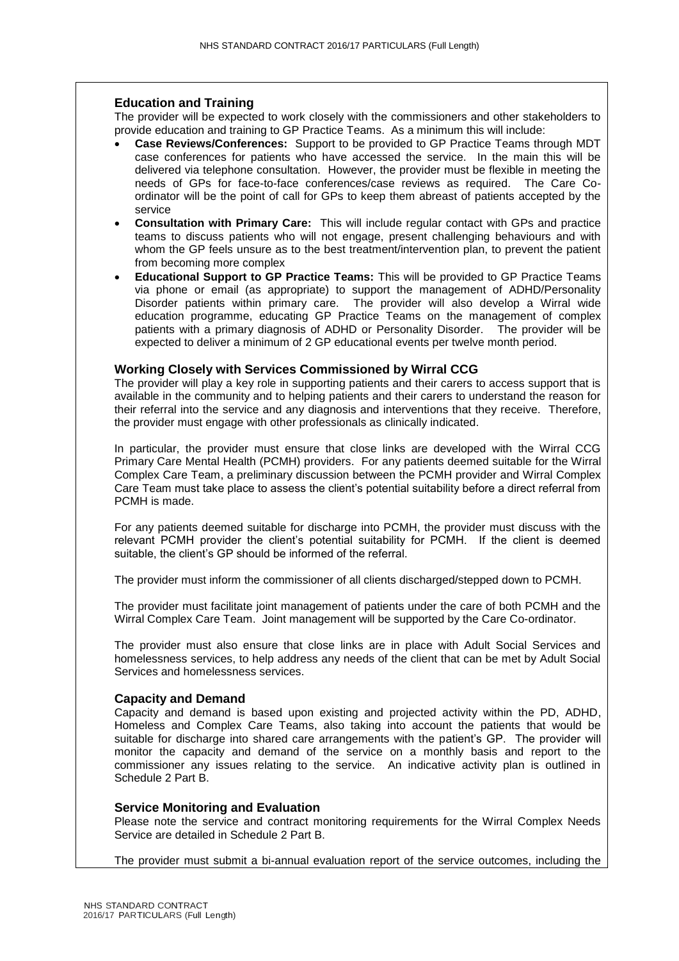## **Education and Training**

The provider will be expected to work closely with the commissioners and other stakeholders to provide education and training to GP Practice Teams. As a minimum this will include:

- **Case Reviews/Conferences:** Support to be provided to GP Practice Teams through MDT case conferences for patients who have accessed the service. In the main this will be delivered via telephone consultation. However, the provider must be flexible in meeting the needs of GPs for face-to-face conferences/case reviews as required. The Care Coordinator will be the point of call for GPs to keep them abreast of patients accepted by the service
- **Consultation with Primary Care:** This will include regular contact with GPs and practice teams to discuss patients who will not engage, present challenging behaviours and with whom the GP feels unsure as to the best treatment/intervention plan, to prevent the patient from becoming more complex
- **Educational Support to GP Practice Teams:** This will be provided to GP Practice Teams via phone or email (as appropriate) to support the management of ADHD/Personality Disorder patients within primary care. The provider will also develop a Wirral wide education programme, educating GP Practice Teams on the management of complex patients with a primary diagnosis of ADHD or Personality Disorder. The provider will be expected to deliver a minimum of 2 GP educational events per twelve month period.

## **Working Closely with Services Commissioned by Wirral CCG**

The provider will play a key role in supporting patients and their carers to access support that is available in the community and to helping patients and their carers to understand the reason for their referral into the service and any diagnosis and interventions that they receive. Therefore, the provider must engage with other professionals as clinically indicated.

In particular, the provider must ensure that close links are developed with the Wirral CCG Primary Care Mental Health (PCMH) providers. For any patients deemed suitable for the Wirral Complex Care Team, a preliminary discussion between the PCMH provider and Wirral Complex Care Team must take place to assess the client's potential suitability before a direct referral from PCMH is made.

For any patients deemed suitable for discharge into PCMH, the provider must discuss with the relevant PCMH provider the client's potential suitability for PCMH. If the client is deemed suitable, the client's GP should be informed of the referral.

The provider must inform the commissioner of all clients discharged/stepped down to PCMH.

The provider must facilitate joint management of patients under the care of both PCMH and the Wirral Complex Care Team. Joint management will be supported by the Care Co-ordinator.

The provider must also ensure that close links are in place with Adult Social Services and homelessness services, to help address any needs of the client that can be met by Adult Social Services and homelessness services.

## **Capacity and Demand**

Capacity and demand is based upon existing and projected activity within the PD, ADHD, Homeless and Complex Care Teams, also taking into account the patients that would be suitable for discharge into shared care arrangements with the patient's GP. The provider will monitor the capacity and demand of the service on a monthly basis and report to the commissioner any issues relating to the service. An indicative activity plan is outlined in Schedule 2 Part B.

## **Service Monitoring and Evaluation**

Please note the service and contract monitoring requirements for the Wirral Complex Needs Service are detailed in Schedule 2 Part B.

The provider must submit a bi-annual evaluation report of the service outcomes, including the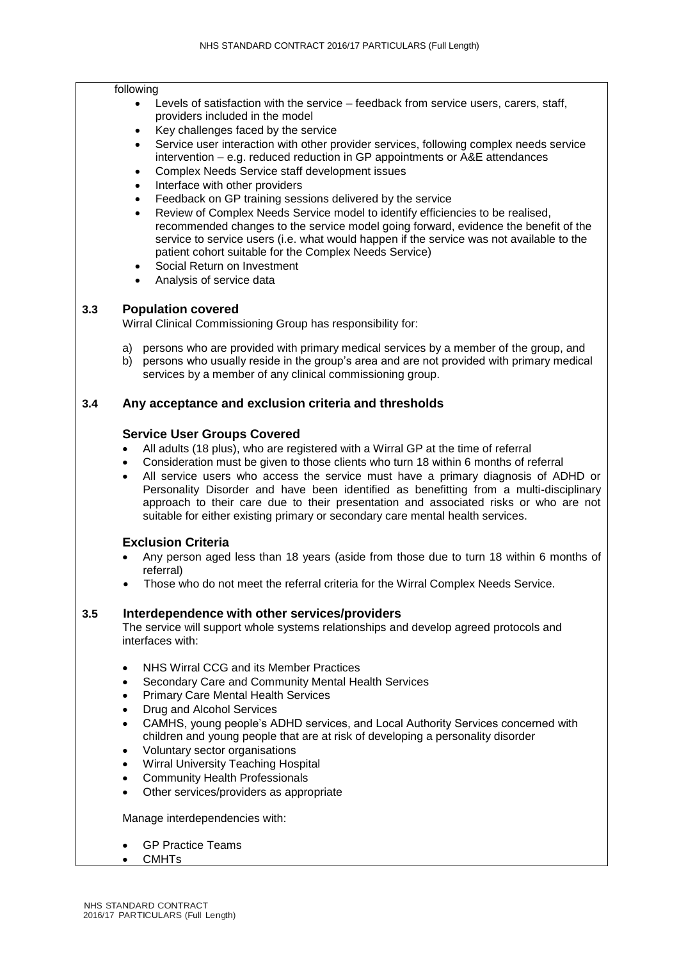#### following

- Levels of satisfaction with the service feedback from service users, carers, staff, providers included in the model
- Key challenges faced by the service
- Service user interaction with other provider services, following complex needs service intervention – e.g. reduced reduction in GP appointments or A&E attendances
- Complex Needs Service staff development issues
- Interface with other providers
- Feedback on GP training sessions delivered by the service
- Review of Complex Needs Service model to identify efficiencies to be realised, recommended changes to the service model going forward, evidence the benefit of the service to service users (i.e. what would happen if the service was not available to the patient cohort suitable for the Complex Needs Service)
- Social Return on Investment
- Analysis of service data

## **3.3 Population covered**

Wirral Clinical Commissioning Group has responsibility for:

- a) persons who are provided with primary medical services by a member of the group, and
- b) persons who usually reside in the group's area and are not provided with primary medical services by a member of any clinical commissioning group.

## **3.4 Any acceptance and exclusion criteria and thresholds**

#### **Service User Groups Covered**

- All adults (18 plus), who are registered with a Wirral GP at the time of referral
- Consideration must be given to those clients who turn 18 within 6 months of referral
- All service users who access the service must have a primary diagnosis of ADHD or Personality Disorder and have been identified as benefitting from a multi-disciplinary approach to their care due to their presentation and associated risks or who are not suitable for either existing primary or secondary care mental health services.

## **Exclusion Criteria**

- Any person aged less than 18 years (aside from those due to turn 18 within 6 months of referral)
- Those who do not meet the referral criteria for the Wirral Complex Needs Service.

## **3.5 Interdependence with other services/providers**

The service will support whole systems relationships and develop agreed protocols and interfaces with:

- NHS Wirral CCG and its Member Practices
- Secondary Care and Community Mental Health Services
- Primary Care Mental Health Services
- Drug and Alcohol Services
- CAMHS, young people's ADHD services, and Local Authority Services concerned with children and young people that are at risk of developing a personality disorder
- Voluntary sector organisations
- Wirral University Teaching Hospital
- Community Health Professionals
- Other services/providers as appropriate

Manage interdependencies with:

- GP Practice Teams
- **CMHTs**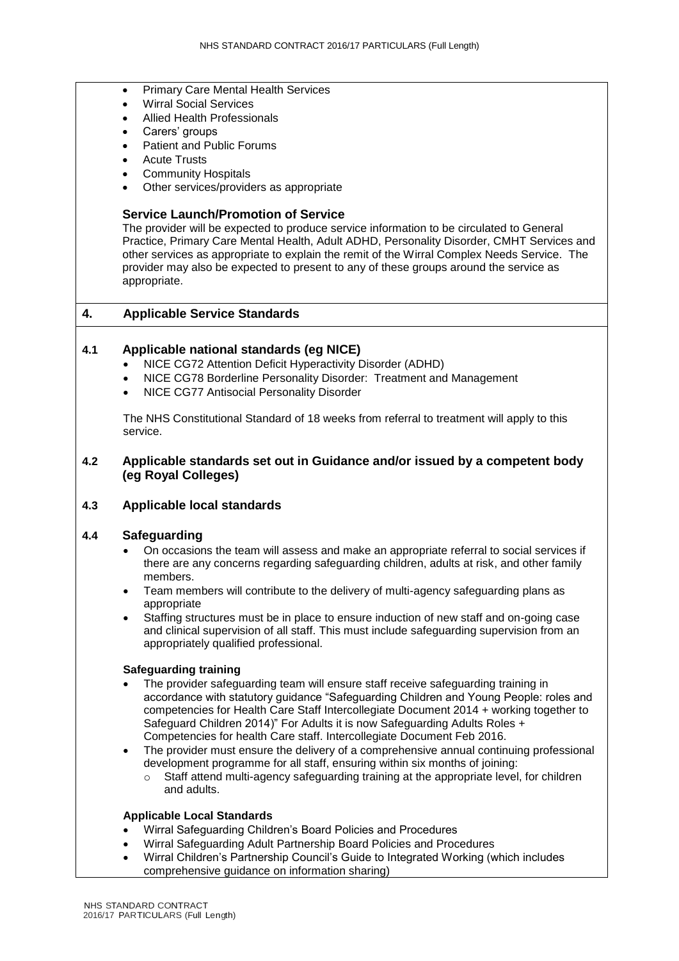- **•** Primary Care Mental Health Services
- Wirral Social Services
- Allied Health Professionals
- Carers' groups
- Patient and Public Forums
- Acute Trusts
- Community Hospitals
- Other services/providers as appropriate

#### **Service Launch/Promotion of Service**

The provider will be expected to produce service information to be circulated to General Practice, Primary Care Mental Health, Adult ADHD, Personality Disorder, CMHT Services and other services as appropriate to explain the remit of the Wirral Complex Needs Service. The provider may also be expected to present to any of these groups around the service as appropriate.

## **4. Applicable Service Standards**

## **4.1 Applicable national standards (eg NICE)**

- NICE CG72 Attention Deficit Hyperactivity Disorder (ADHD)
- NICE CG78 Borderline Personality Disorder: Treatment and Management
- NICE CG77 Antisocial Personality Disorder

The NHS Constitutional Standard of 18 weeks from referral to treatment will apply to this service.

#### **4.2 Applicable standards set out in Guidance and/or issued by a competent body (eg Royal Colleges)**

## **4.3 Applicable local standards**

## **4.4 Safeguarding**

- On occasions the team will assess and make an appropriate referral to social services if there are any concerns regarding safeguarding children, adults at risk, and other family members.
- Team members will contribute to the delivery of multi-agency safeguarding plans as appropriate
- Staffing structures must be in place to ensure induction of new staff and on-going case and clinical supervision of all staff. This must include safeguarding supervision from an appropriately qualified professional.

#### **Safeguarding training**

- The provider safeguarding team will ensure staff receive safeguarding training in accordance with statutory guidance "Safeguarding Children and Young People: roles and competencies for Health Care Staff Intercollegiate Document 2014 + working together to Safeguard Children 2014)" For Adults it is now Safeguarding Adults Roles + Competencies for health Care staff. Intercollegiate Document Feb 2016.
- The provider must ensure the delivery of a comprehensive annual continuing professional development programme for all staff, ensuring within six months of joining:
	- o Staff attend multi-agency safeguarding training at the appropriate level, for children and adults.

#### **Applicable Local Standards**

- Wirral Safeguarding Children's Board Policies and Procedures
- Wirral Safeguarding Adult Partnership Board Policies and Procedures
- Wirral Children's Partnership Council's Guide to Integrated Working (which includes comprehensive guidance on information sharing)